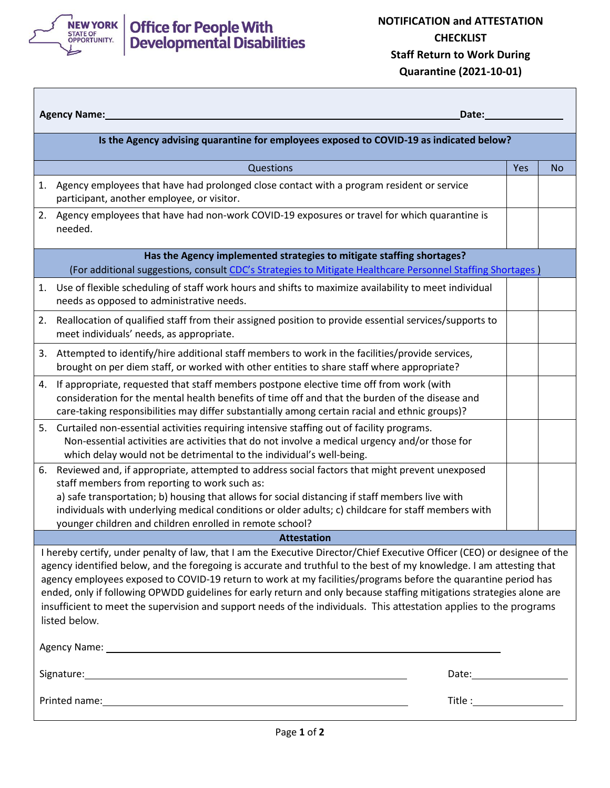

## Office for People With<br>Developmental Disabilities

| <b>Agency Name:</b><br>Date:                                                                                                                                                                                                                                                                                                                                                                                                                                                                                                                                                                                                         |                                                                                                                                                                                                                                                                                                                                                                                                                       |     |    |  |  |  |
|--------------------------------------------------------------------------------------------------------------------------------------------------------------------------------------------------------------------------------------------------------------------------------------------------------------------------------------------------------------------------------------------------------------------------------------------------------------------------------------------------------------------------------------------------------------------------------------------------------------------------------------|-----------------------------------------------------------------------------------------------------------------------------------------------------------------------------------------------------------------------------------------------------------------------------------------------------------------------------------------------------------------------------------------------------------------------|-----|----|--|--|--|
| Is the Agency advising quarantine for employees exposed to COVID-19 as indicated below?                                                                                                                                                                                                                                                                                                                                                                                                                                                                                                                                              |                                                                                                                                                                                                                                                                                                                                                                                                                       |     |    |  |  |  |
|                                                                                                                                                                                                                                                                                                                                                                                                                                                                                                                                                                                                                                      | Questions                                                                                                                                                                                                                                                                                                                                                                                                             | Yes | No |  |  |  |
|                                                                                                                                                                                                                                                                                                                                                                                                                                                                                                                                                                                                                                      | 1. Agency employees that have had prolonged close contact with a program resident or service<br>participant, another employee, or visitor.                                                                                                                                                                                                                                                                            |     |    |  |  |  |
|                                                                                                                                                                                                                                                                                                                                                                                                                                                                                                                                                                                                                                      | 2. Agency employees that have had non-work COVID-19 exposures or travel for which quarantine is<br>needed.                                                                                                                                                                                                                                                                                                            |     |    |  |  |  |
| Has the Agency implemented strategies to mitigate staffing shortages?<br>(For additional suggestions, consult CDC's Strategies to Mitigate Healthcare Personnel Staffing Shortages)                                                                                                                                                                                                                                                                                                                                                                                                                                                  |                                                                                                                                                                                                                                                                                                                                                                                                                       |     |    |  |  |  |
| 1.                                                                                                                                                                                                                                                                                                                                                                                                                                                                                                                                                                                                                                   | Use of flexible scheduling of staff work hours and shifts to maximize availability to meet individual<br>needs as opposed to administrative needs.                                                                                                                                                                                                                                                                    |     |    |  |  |  |
| 2.                                                                                                                                                                                                                                                                                                                                                                                                                                                                                                                                                                                                                                   | Reallocation of qualified staff from their assigned position to provide essential services/supports to<br>meet individuals' needs, as appropriate.                                                                                                                                                                                                                                                                    |     |    |  |  |  |
| 3.                                                                                                                                                                                                                                                                                                                                                                                                                                                                                                                                                                                                                                   | Attempted to identify/hire additional staff members to work in the facilities/provide services,<br>brought on per diem staff, or worked with other entities to share staff where appropriate?                                                                                                                                                                                                                         |     |    |  |  |  |
|                                                                                                                                                                                                                                                                                                                                                                                                                                                                                                                                                                                                                                      | 4. If appropriate, requested that staff members postpone elective time off from work (with<br>consideration for the mental health benefits of time off and that the burden of the disease and<br>care-taking responsibilities may differ substantially among certain racial and ethnic groups)?                                                                                                                       |     |    |  |  |  |
| 5.                                                                                                                                                                                                                                                                                                                                                                                                                                                                                                                                                                                                                                   | Curtailed non-essential activities requiring intensive staffing out of facility programs.<br>Non-essential activities are activities that do not involve a medical urgency and/or those for<br>which delay would not be detrimental to the individual's well-being.                                                                                                                                                   |     |    |  |  |  |
| 6.                                                                                                                                                                                                                                                                                                                                                                                                                                                                                                                                                                                                                                   | Reviewed and, if appropriate, attempted to address social factors that might prevent unexposed<br>staff members from reporting to work such as:<br>a) safe transportation; b) housing that allows for social distancing if staff members live with<br>individuals with underlying medical conditions or older adults; c) childcare for staff members with<br>younger children and children enrolled in remote school? |     |    |  |  |  |
| <b>Attestation</b>                                                                                                                                                                                                                                                                                                                                                                                                                                                                                                                                                                                                                   |                                                                                                                                                                                                                                                                                                                                                                                                                       |     |    |  |  |  |
| I hereby certify, under penalty of law, that I am the Executive Director/Chief Executive Officer (CEO) or designee of the<br>agency identified below, and the foregoing is accurate and truthful to the best of my knowledge. I am attesting that<br>agency employees exposed to COVID-19 return to work at my facilities/programs before the quarantine period has<br>ended, only if following OPWDD guidelines for early return and only because staffing mitigations strategies alone are<br>insufficient to meet the supervision and support needs of the individuals. This attestation applies to the programs<br>listed below. |                                                                                                                                                                                                                                                                                                                                                                                                                       |     |    |  |  |  |
|                                                                                                                                                                                                                                                                                                                                                                                                                                                                                                                                                                                                                                      | Date: <u>Date: Date: Date: Date: Date: Date: Date: Date: Date: Date: Date: Date: Date: Date: Date: Date: Date: D</u>                                                                                                                                                                                                                                                                                                  |     |    |  |  |  |
|                                                                                                                                                                                                                                                                                                                                                                                                                                                                                                                                                                                                                                      |                                                                                                                                                                                                                                                                                                                                                                                                                       |     |    |  |  |  |